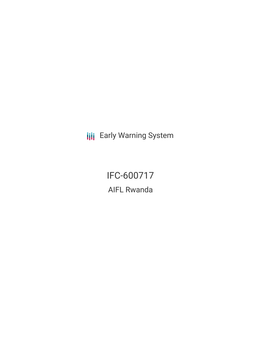**III** Early Warning System

IFC-600717 AIFL Rwanda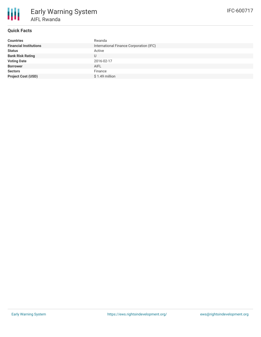

# **Quick Facts**

| <b>Countries</b>              | Rwanda                                  |
|-------------------------------|-----------------------------------------|
| <b>Financial Institutions</b> | International Finance Corporation (IFC) |
| <b>Status</b>                 | Active                                  |
| <b>Bank Risk Rating</b>       | U                                       |
| <b>Voting Date</b>            | 2016-02-17                              |
| <b>Borrower</b>               | <b>AIFL</b>                             |
| <b>Sectors</b>                | Finance                                 |
| <b>Project Cost (USD)</b>     | $$1.49$ million                         |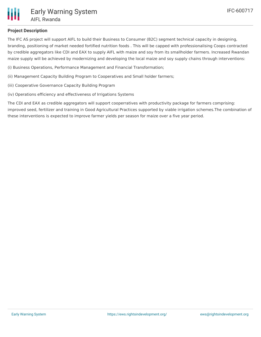

# **Project Description**

The IFC AS project will support AIFL to build their Business to Consumer (B2C) segment technical capacity in designing, branding, positioning of market needed fortified nutrition foods . This will be capped with professionalising Coops contracted by credible aggregators like CDI and EAX to supply AIFL with maize and soy from its smallholder farmers. Increased Rwandan maize supply will be achieved by modernizing and developing the local maize and soy supply chains through interventions:

- (i) Business Operations, Performance Management and Financial Transformation;
- (ii) Management Capacity Building Program to Cooperatives and Small holder farmers;
- (iii) Cooperative Governance Capacity Building Program
- (iv) Operations efficiency and effectiveness of Irrigations Systems

The CDI and EAX as credible aggregators will support cooperratives with productivity package for farmers comprising: improved seed, fertilizer and training in Good Agricultural Practices supported by viable irrigation schemes.The combination of these interventions is expected to improve farmer yields per season for maize over a five year period.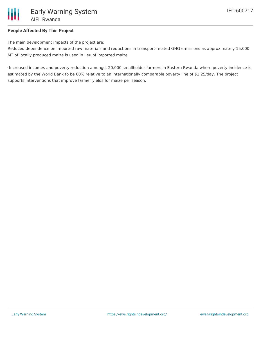

## **People Affected By This Project**

The main development impacts of the project are:

Reduced dependence on imported raw materials and reductions in transport-related GHG emissions as approximately 15,000 MT of locally produced maize is used in lieu of imported maize

-Increased incomes and poverty reduction amongst 20,000 smallholder farmers in Eastern Rwanda where poverty incidence is estimated by the World Bank to be 60% relative to an internationally comparable poverty line of \$1.25/day. The project supports interventions that improve farmer yields for maize per season.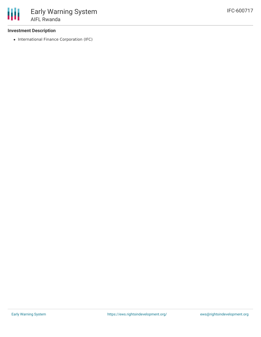

## **Investment Description**

• International Finance Corporation (IFC)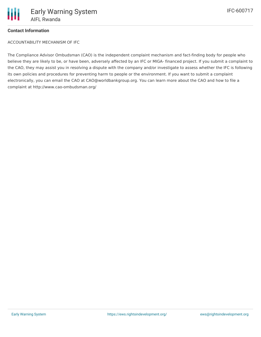

## **Contact Information**

ACCOUNTABILITY MECHANISM OF IFC

The Compliance Advisor Ombudsman (CAO) is the independent complaint mechanism and fact-finding body for people who believe they are likely to be, or have been, adversely affected by an IFC or MIGA- financed project. If you submit a complaint to the CAO, they may assist you in resolving a dispute with the company and/or investigate to assess whether the IFC is following its own policies and procedures for preventing harm to people or the environment. If you want to submit a complaint electronically, you can email the CAO at CAO@worldbankgroup.org. You can learn more about the CAO and how to file a complaint at http://www.cao-ombudsman.org/